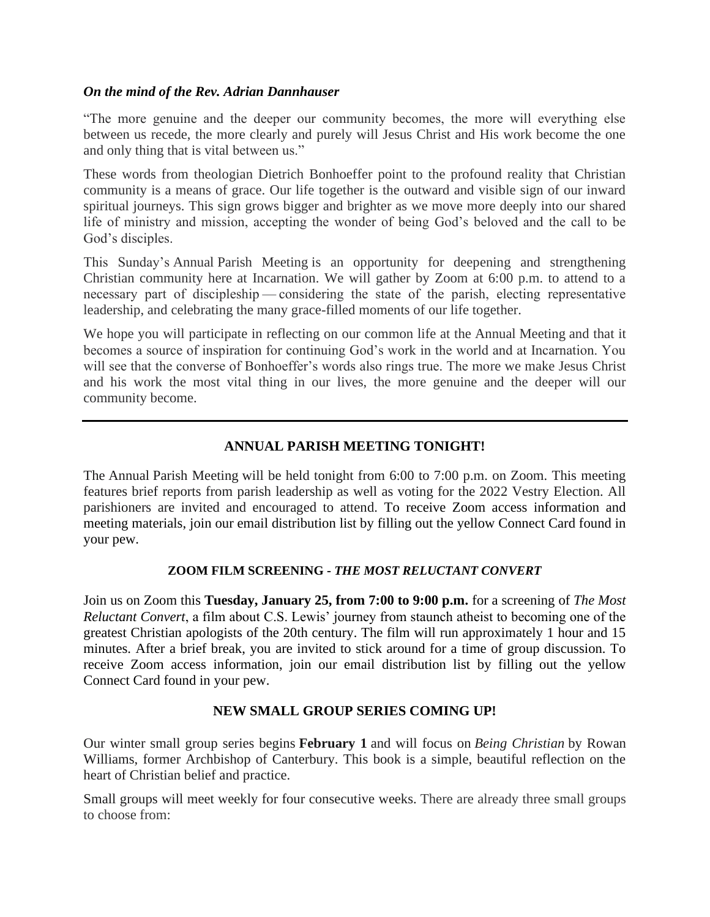### *On the mind of the Rev. Adrian Dannhauser*

"The more genuine and the deeper our community becomes, the more will everything else between us recede, the more clearly and purely will Jesus Christ and His work become the one and only thing that is vital between us."

These words from theologian Dietrich Bonhoeffer point to the profound reality that Christian community is a means of grace. Our life together is the outward and visible sign of our inward spiritual journeys. This sign grows bigger and brighter as we move more deeply into our shared life of ministry and mission, accepting the wonder of being God's beloved and the call to be God's disciples.

This Sunday's Annual Parish Meeting is an opportunity for deepening and strengthening Christian community here at Incarnation. We will gather by Zoom at 6:00 p.m. to attend to a necessary part of discipleship—considering the state of the parish, electing representative leadership, and celebrating the many grace-filled moments of our life together.

We hope you will participate in reflecting on our common life at the Annual Meeting and that it becomes a source of inspiration for continuing God's work in the world and at Incarnation. You will see that the converse of Bonhoeffer's words also rings true. The more we make Jesus Christ and his work the most vital thing in our lives, the more genuine and the deeper will our community become.

# **ANNUAL PARISH MEETING TONIGHT!**

The Annual Parish Meeting will be held tonight from 6:00 to 7:00 p.m. on Zoom. This meeting features brief reports from parish leadership as well as voting for the 2022 Vestry Election. All parishioners are invited and encouraged to attend. To receive Zoom access information and meeting materials, join our email distribution list by filling out the yellow Connect Card found in your pew.

#### **ZOOM FILM SCREENING -** *THE MOST RELUCTANT CONVERT*

Join us on Zoom this **Tuesday, January 25, from 7:00 to 9:00 p.m.** for a screening of *The Most Reluctant Convert*, a film about C.S. Lewis' journey from staunch atheist to becoming one of the greatest Christian apologists of the 20th century. The film will run approximately 1 hour and 15 minutes. After a brief break, you are invited to stick around for a time of group discussion. To receive Zoom access information, join our email distribution list by filling out the yellow Connect Card found in your pew.

# **NEW SMALL GROUP SERIES COMING UP!**

Our winter small group series begins **February 1** and will focus on *Being Christian* by Rowan Williams, former Archbishop of Canterbury. This book is a simple, beautiful reflection on the heart of Christian belief and practice.

Small groups will meet weekly for four consecutive weeks. There are already three small groups to choose from: